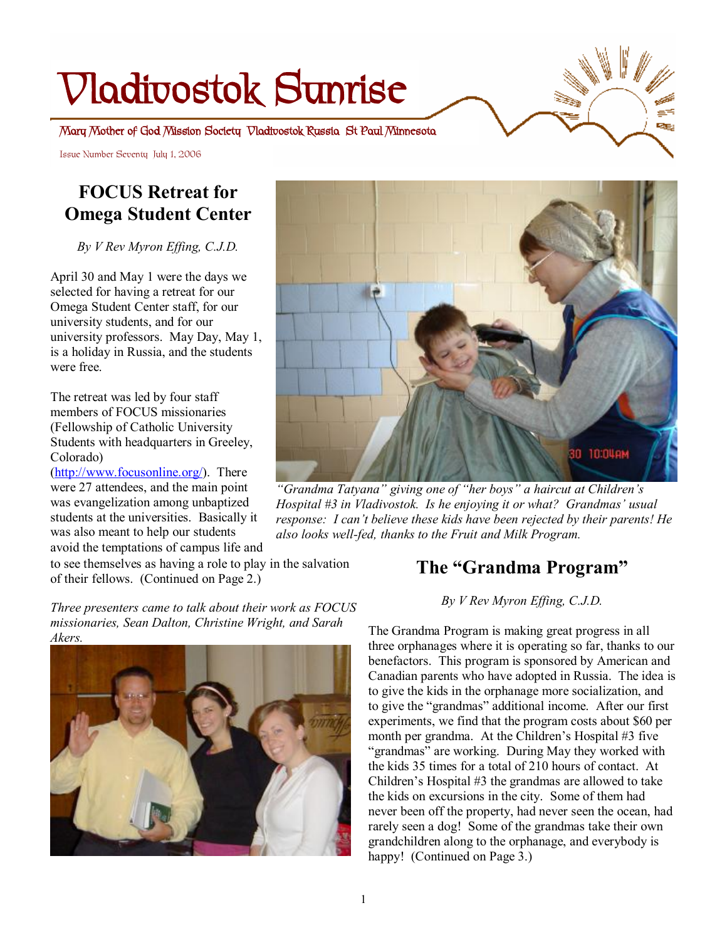# **Vladivostok Sunrise**

**Mary Mother of God Mission Society Vladivostok Russia St Paul Minnesota** 

Issue Number Seventy July 1, 2006

# **FOCUS Retreat for Omega Student Center**

*By V Rev Myron Effing, C.J.D.* 

April 30 and May 1 were the days we selected for having a retreat for our Omega Student Center staff, for our university students, and for our university professors. May Day, May 1, is a holiday in Russia, and the students were free.

The retreat was led by four staff members of FOCUS missionaries (Fellowship of Catholic University Students with headquarters in Greeley, Colorado)

[\(http://www.focusonline.org/\)](http://www.focusonline.org/). There were 27 attendees, and the main point was evangelization among unbaptized students at the universities. Basically it was also meant to help our students avoid the temptations of campus life and

to see themselves as having a role to play in the salvation of their fellows. (Continued on Page 2.)

*Three presenters came to talk about their work as FOCUS missionaries, Sean Dalton, Christine Wright, and Sarah Akers.*





a,

*"Grandma Tatyana" giving one of "her boys" a haircut at Children's Hospital #3 in Vladivostok. Is he enjoying it or what? Grandmas' usual response: I can't believe these kids have been rejected by their parents! He also looks well-fed, thanks to the Fruit and Milk Program.* 

# **The "Grandma Program"**

*By V Rev Myron Effing, C.J.D.* 

The Grandma Program is making great progress in all three orphanages where it is operating so far, thanks to our benefactors. This program is sponsored by American and Canadian parents who have adopted in Russia. The idea is to give the kids in the orphanage more socialization, and to give the "grandmas" additional income. After our first experiments, we find that the program costs about \$60 per month per grandma. At the Children's Hospital #3 five "grandmas" are working. During May they worked with the kids 35 times for a total of 210 hours of contact. At Children's Hospital #3 the grandmas are allowed to take the kids on excursions in the city. Some of them had never been off the property, had never seen the ocean, had rarely seen a dog! Some of the grandmas take their own grandchildren along to the orphanage, and everybody is happy! (Continued on Page 3.)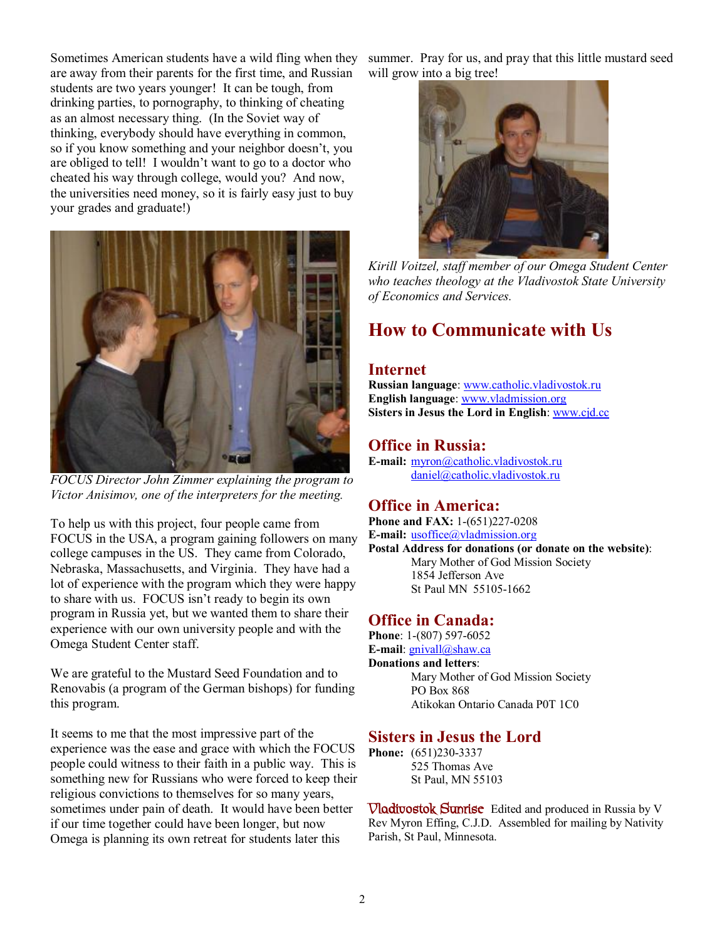Sometimes American students have a wild fling when they are away from their parents for the first time, and Russian students are two years younger! It can be tough, from drinking parties, to pornography, to thinking of cheating as an almost necessary thing. (In the Soviet way of thinking, everybody should have everything in common, so if you know something and your neighbor doesn't, you are obliged to tell! I wouldn't want to go to a doctor who cheated his way through college, would you? And now, the universities need money, so it is fairly easy just to buy your grades and graduate!)



*FOCUS Director John Zimmer explaining the program to Victor Anisimov, one of the interpreters for the meeting.* 

To help us with this project, four people came from FOCUS in the USA, a program gaining followers on many college campuses in the US. They came from Colorado, Nebraska, Massachusetts, and Virginia. They have had a lot of experience with the program which they were happy to share with us. FOCUS isn't ready to begin its own program in Russia yet, but we wanted them to share their experience with our own university people and with the Omega Student Center staff.

We are grateful to the Mustard Seed Foundation and to Renovabis (a program of the German bishops) for funding this program.

It seems to me that the most impressive part of the experience was the ease and grace with which the FOCUS people could witness to their faith in a public way. This is something new for Russians who were forced to keep their religious convictions to themselves for so many years, sometimes under pain of death. It would have been better if our time together could have been longer, but now Omega is planning its own retreat for students later this

summer. Pray for us, and pray that this little mustard seed will grow into a big tree!



*Kirill Voitzel, staff member of our Omega Student Center who teaches theology at the Vladivostok State University of Economics and Services.* 

# **How to Communicate with Us**

### **Internet**

**Russian language**: [www.catholic.vladivostok.ru](http://www.catholic.vladivostok.ru) **English language**: [www.vladmission.org](http://www.vladmission.org) **Sisters in Jesus the Lord in English**: [www.cjd.cc](http://www.cjd.cc)

### **Office in Russia:**

**E-mail:** [myron@catholic.vladivostok.ru](mailto:myron@catholic.vladivostok.ru) [daniel@catholic.vladivostok.ru](mailto:daniel@catholic.vladivostok.ru)

### **Office in America:**

**Phone and FAX:** 1-(651)227-0208 **E-mail:** <u>usoffice</u>@vladmission.org **Postal Address for donations (or donate on the website)**: Mary Mother of God Mission Society 1854 Jefferson Ave St Paul MN 55105-1662

### **Office in Canada:**

**Phone**: 1-(807) 597-6052 **E-mail**: [gnivall@shaw.ca](mailto:gnivall@shaw.ca) **Donations and letters**: Mary Mother of God Mission Society PO Box 868 Atikokan Ontario Canada P0T 1C0

### **Sisters in Jesus the Lord**

**Phone:** (651)230-3337 525 Thomas Ave St Paul, MN 55103

**Vladivostok Sunrise** Edited and produced in Russia by V Rev Myron Effing, C.J.D. Assembled for mailing by Nativity Parish, St Paul, Minnesota.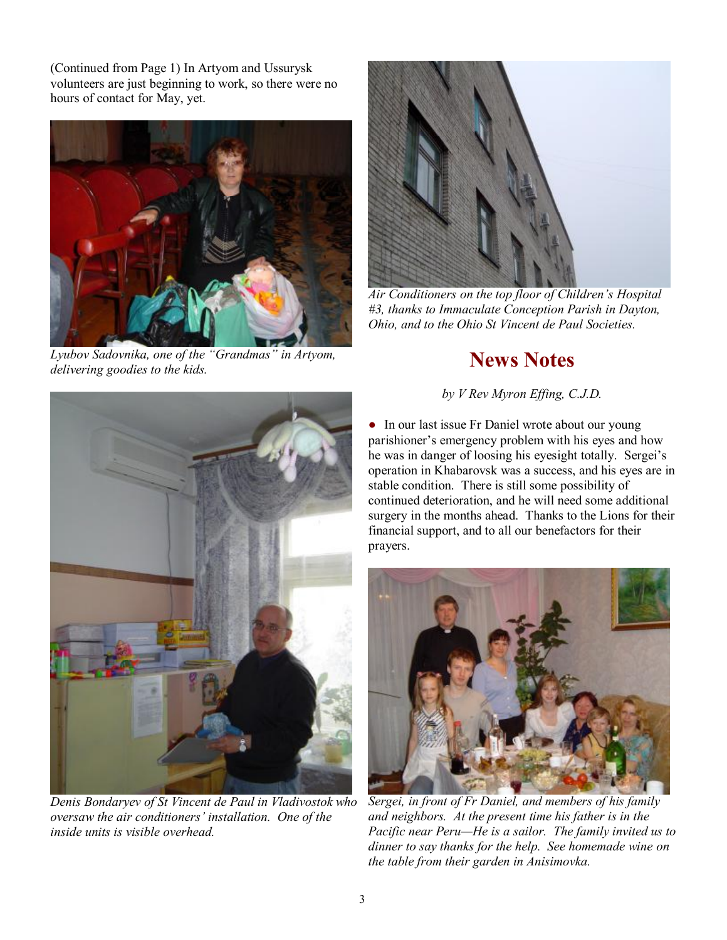(Continued from Page 1) In Artyom and Ussurysk volunteers are just beginning to work, so there were no hours of contact for May, yet.



*Lyubov Sadovnika, one of the "Grandmas" in Artyom, delivering goodies to the kids.* 



*Air Conditioners on the top floor of Children's Hospital #3, thanks to Immaculate Conception Parish in Dayton, Ohio, and to the Ohio St Vincent de Paul Societies.* 

# **News Notes**

*by V Rev Myron Effing, C.J.D.*



*Denis Bondaryev of St Vincent de Paul in Vladivostok who oversaw the air conditioners' installation. One of the inside units is visible overhead.* 

• In our last issue Fr Daniel wrote about our young parishioner's emergency problem with his eyes and how he was in danger of loosing his eyesight totally. Sergei's operation in Khabarovsk was a success, and his eyes are in stable condition. There is still some possibility of continued deterioration, and he will need some additional surgery in the months ahead. Thanks to the Lions for their financial support, and to all our benefactors for their prayers.



*Sergei, in front of Fr Daniel, and members of his family and neighbors. At the present time his father is in the Pacific near Peru—He is a sailor. The family invited us to dinner to say thanks for the help. See homemade wine on the table from their garden in Anisimovka.*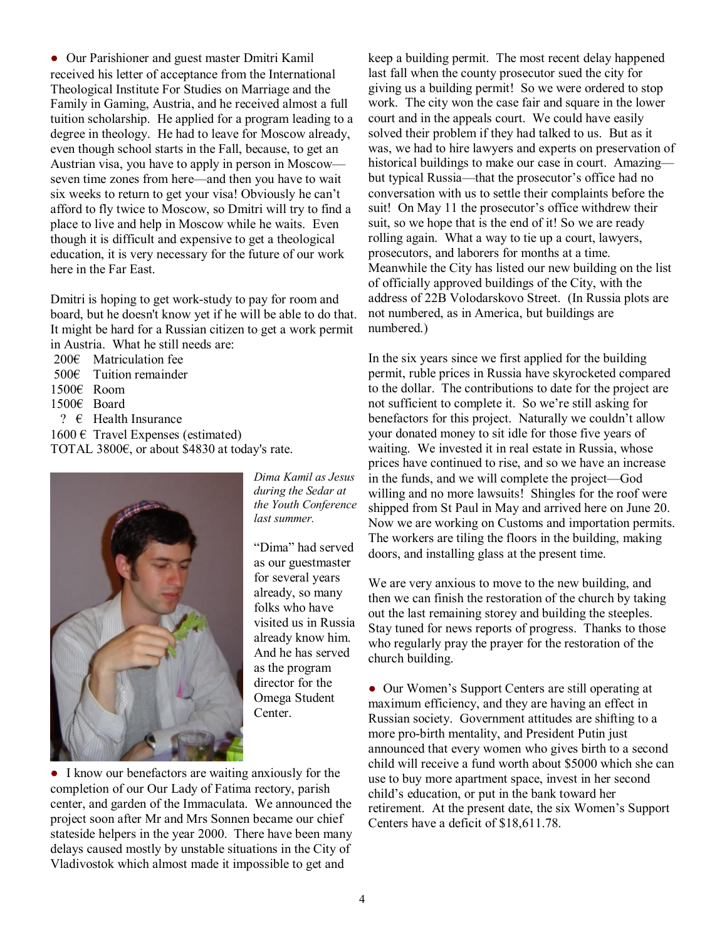● Our Parishioner and guest master Dmitri Kamil received his letter of acceptance from the International Theological Institute For Studies on Marriage and the Family in Gaming, Austria, and he received almost a full tuition scholarship. He applied for a program leading to a degree in theology. He had to leave for Moscow already, even though school starts in the Fall, because, to get an Austrian visa, you have to apply in person in Moscow seven time zones from here—and then you have to wait six weeks to return to get your visa! Obviously he can't afford to fly twice to Moscow, so Dmitri will try to find a place to live and help in Moscow while he waits. Even though it is difficult and expensive to get a theological education, it is very necessary for the future of our work here in the Far East.

Dmitri is hoping to get work-study to pay for room and board, but he doesn't know yet if he will be able to do that. It might be hard for a Russian citizen to get a work permit in Austria. What he still needs are:

- 200€ Matriculation fee
- 500€ Tuition remainder
- 1500€ Room
- 1500€ Board
- ?  $\epsilon$  Health Insurance

 $1600 \text{ }\in$  Travel Expenses (estimated) TOTAL 3800€, or about \$4830 at today's rate.



*Dima Kamil as Jesus during the Sedar at the Youth Conference last summer.* 

"Dima" had served as our guestmaster for several years already, so many folks who have visited us in Russia already know him. And he has served as the program director for the Omega Student Center.

● I know our benefactors are waiting anxiously for the completion of our Our Lady of Fatima rectory, parish center, and garden of the Immaculata. We announced the project soon after Mr and Mrs Sonnen became our chief stateside helpers in the year 2000. There have been many delays caused mostly by unstable situations in the City of Vladivostok which almost made it impossible to get and

keep a building permit. The most recent delay happened last fall when the county prosecutor sued the city for giving us a building permit! So we were ordered to stop work. The city won the case fair and square in the lower court and in the appeals court. We could have easily solved their problem if they had talked to us. But as it was, we had to hire lawyers and experts on preservation of historical buildings to make our case in court. Amazingbut typical Russia—that the prosecutor's office had no conversation with us to settle their complaints before the suit! On May 11 the prosecutor's office withdrew their suit, so we hope that is the end of it! So we are ready rolling again. What a way to tie up a court, lawyers, prosecutors, and laborers for months at a time. Meanwhile the City has listed our new building on the list of officially approved buildings of the City, with the address of 22B Volodarskovo Street. (In Russia plots are not numbered, as in America, but buildings are numbered.)

In the six years since we first applied for the building permit, ruble prices in Russia have skyrocketed compared to the dollar. The contributions to date for the project are not sufficient to complete it. So we're still asking for benefactors for this project. Naturally we couldn't allow your donated money to sit idle for those five years of waiting. We invested it in real estate in Russia, whose prices have continued to rise, and so we have an increase in the funds, and we will complete the project—God willing and no more lawsuits! Shingles for the roof were shipped from St Paul in May and arrived here on June 20. Now we are working on Customs and importation permits. The workers are tiling the floors in the building, making doors, and installing glass at the present time.

We are very anxious to move to the new building, and then we can finish the restoration of the church by taking out the last remaining storey and building the steeples. Stay tuned for news reports of progress. Thanks to those who regularly pray the prayer for the restoration of the church building.

• Our Women's Support Centers are still operating at maximum efficiency, and they are having an effect in Russian society. Government attitudes are shifting to a more pro-birth mentality, and President Putin just announced that every women who gives birth to a second child will receive a fund worth about \$5000 which she can use to buy more apartment space, invest in her second child's education, or put in the bank toward her retirement. At the present date, the six Women's Support Centers have a deficit of \$18,611.78.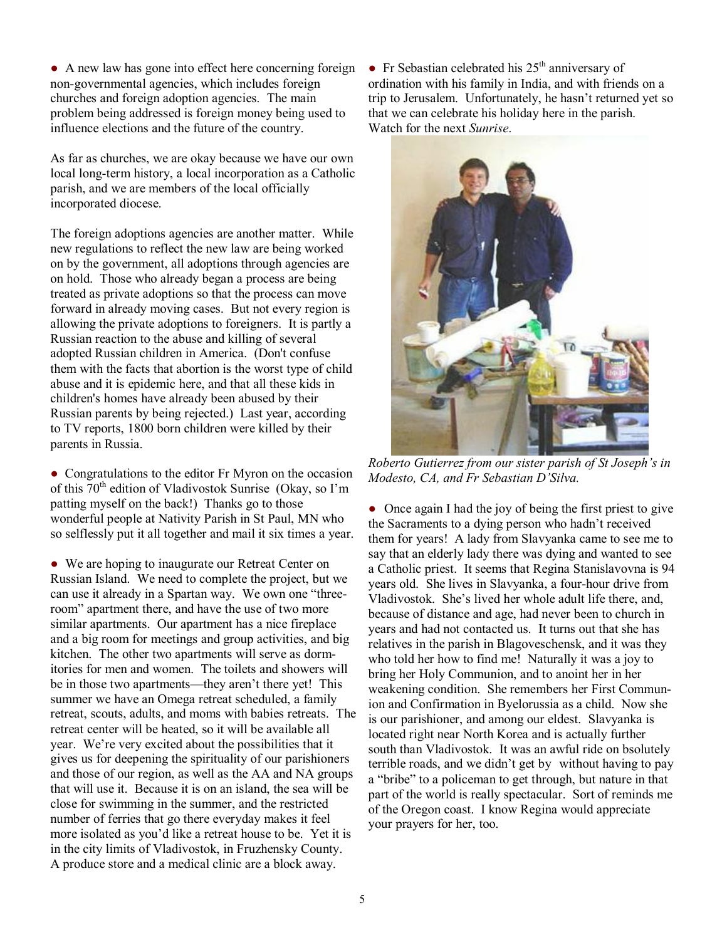• A new law has gone into effect here concerning foreign non-governmental agencies, which includes foreign churches and foreign adoption agencies. The main problem being addressed is foreign money being used to influence elections and the future of the country.

As far as churches, we are okay because we have our own local long-term history, a local incorporation as a Catholic parish, and we are members of the local officially incorporated diocese.

The foreign adoptions agencies are another matter. While new regulations to reflect the new law are being worked on by the government, all adoptions through agencies are on hold. Those who already began a process are being treated as private adoptions so that the process can move forward in already moving cases. But not every region is allowing the private adoptions to foreigners. It is partly a Russian reaction to the abuse and killing of several adopted Russian children in America. (Don't confuse them with the facts that abortion is the worst type of child abuse and it is epidemic here, and that all these kids in children's homes have already been abused by their Russian parents by being rejected.) Last year, according to TV reports, 1800 born children were killed by their parents in Russia.

• Congratulations to the editor Fr Myron on the occasion of this  $70<sup>th</sup>$  edition of Vladivostok Sunrise (Okay, so I'm patting myself on the back!) Thanks go to those wonderful people at Nativity Parish in St Paul, MN who so selflessly put it all together and mail it six times a year.

• We are hoping to inaugurate our Retreat Center on Russian Island. We need to complete the project, but we can use it already in a Spartan way. We own one "threeroom" apartment there, and have the use of two more similar apartments. Our apartment has a nice fireplace and a big room for meetings and group activities, and big kitchen. The other two apartments will serve as dormitories for men and women. The toilets and showers will be in those two apartments—they aren't there yet! This summer we have an Omega retreat scheduled, a family retreat, scouts, adults, and moms with babies retreats. The retreat center will be heated, so it will be available all year. We're very excited about the possibilities that it gives us for deepening the spirituality of our parishioners and those of our region, as well as the AA and NA groups that will use it. Because it is on an island, the sea will be close for swimming in the summer, and the restricted number of ferries that go there everyday makes it feel more isolated as you'd like a retreat house to be. Yet it is in the city limits of Vladivostok, in Fruzhensky County. A produce store and a medical clinic are a block away.

• Fr Sebastian celebrated his  $25<sup>th</sup>$  anniversary of ordination with his family in India, and with friends on a trip to Jerusalem. Unfortunately, he hasn't returned yet so that we can celebrate his holiday here in the parish. Watch for the next *Sunrise*.



*Roberto Gutierrez from our sister parish of St Joseph's in Modesto, CA, and Fr Sebastian D'Silva.*

• Once again I had the joy of being the first priest to give the Sacraments to a dying person who hadn't received them for years! A lady from Slavyanka came to see me to say that an elderly lady there was dying and wanted to see a Catholic priest. It seems that Regina Stanislavovna is 94 years old. She lives in Slavyanka, a four-hour drive from Vladivostok. She's lived her whole adult life there, and, because of distance and age, had never been to church in years and had not contacted us. It turns out that she has relatives in the parish in Blagoveschensk, and it was they who told her how to find me! Naturally it was a joy to bring her Holy Communion, and to anoint her in her weakening condition. She remembers her First Communion and Confirmation in Byelorussia as a child. Now she is our parishioner, and among our eldest. Slavyanka is located right near North Korea and is actually further south than Vladivostok. It was an awful ride on bsolutely terrible roads, and we didn't get by without having to pay a "bribe" to a policeman to get through, but nature in that part of the world is really spectacular. Sort of reminds me of the Oregon coast. I know Regina would appreciate your prayers for her, too.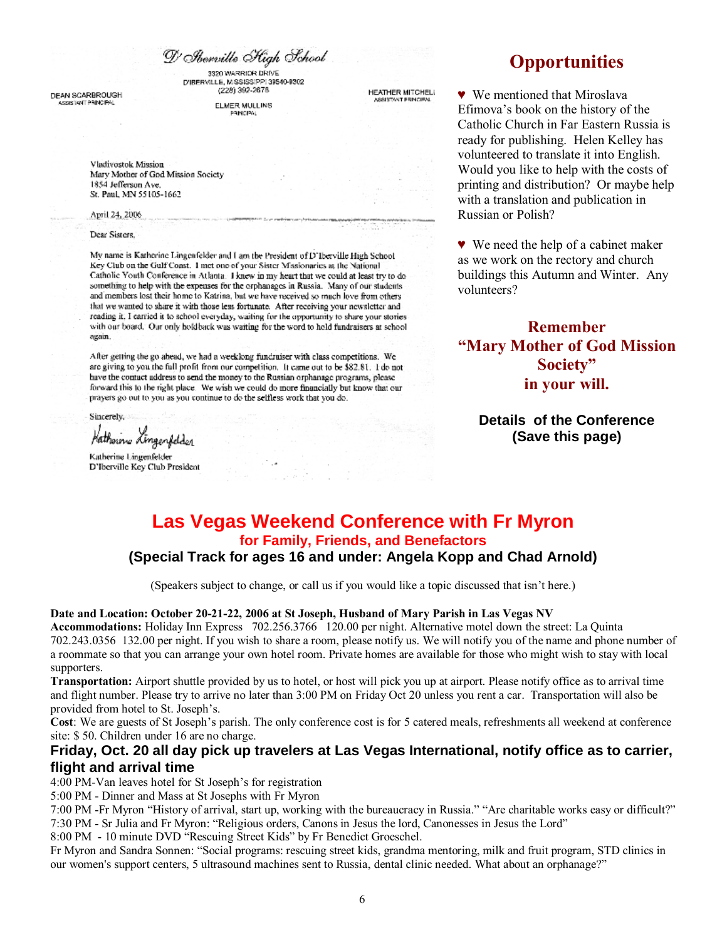D' Abenrille High School

3320 WARRIOR DRIVE DIBERVILLE, MISSISSIPPI 39540-9302 (228) 392-2678

DEAN SCARBROUGH SSISTANT PRINCIPAL

**ELMER MULLINS** PRINCIPAL

**HEATHER MITCHELL** 

Vladivostok Mission Mary Mother of God Mission Society 1854 Jefferson Ave. St. Paul, MN 55105-1662

#### April 24, 2006

#### Dear Sisters.

My name is Katherine Lingenfelder and I am the President of D'Iberville High School Key Club on the Gulf Coast. 1 met one of your Sister Missionaries at the National Catholic Youth Conference in Atlanta. I knew in my heart that we could at least try to do something to help with the expenses for the orphanages in Russia. Many of our students and members lost their home to Katrina, but we have received so much love from others that we wanted to share it with those less fortunate. After receiving your newsletter and reading it. I carried it to school everyday, waiting for the opportunity to share your stories with our board. Our only holdback was waiting for the word to hold fundraisers at school again.

After getting the go ahead, we had a weekking fundraiser with class competitions. We are giving to you the full profit from our competition. It came out to be \$82.81. I do not have the contact address to send the money to the Russian orphanage programs, please forward this to the right place. We wish we could do more financially but know that our prayers go out to you as you continue to do the selfless work that you do.

Sincerely,

Hatherine Lingerfelder

Katherine Lingenfelder D'Iberville Key Club President

# **Opportunities**

♥ We mentioned that Miroslava Efimova's book on the history of the Catholic Church in Far Eastern Russia is ready for publishing. Helen Kelley has volunteered to translate it into English. Would you like to help with the costs of printing and distribution? Or maybe help with a translation and publication in Russian or Polish?

♥ We need the help of a cabinet maker as we work on the rectory and church buildings this Autumn and Winter. Any volunteers?

## **Remember "Mary Mother of God Mission Society" in your will.**

**Details of the Conference (Save this page)** 

### **Las Vegas Weekend Conference with Fr Myron for Family, Friends, and Benefactors (Special Track for ages 16 and under: Angela Kopp and Chad Arnold)**

(Speakers subject to change, or call us if you would like a topic discussed that isn't here.)

#### **Date and Location: October 20-21-22, 2006 at St Joseph, Husband of Mary Parish in Las Vegas NV**

**Accommodations:** Holiday Inn Express 702.256.3766 120.00 per night. Alternative motel down the street: La Quinta 702.243.0356 132.00 per night. If you wish to share a room, please notify us. We will notify you of the name and phone number of a roommate so that you can arrange your own hotel room. Private homes are available for those who might wish to stay with local supporters.

**Transportation:** Airport shuttle provided by us to hotel, or host will pick you up at airport. Please notify office as to arrival time and flight number. Please try to arrive no later than 3:00 PM on Friday Oct 20 unless you rent a car. Transportation will also be provided from hotel to St. Joseph's.

**Cost**: We are guests of St Joseph's parish. The only conference cost is for 5 catered meals, refreshments all weekend at conference site: \$ 50. Children under 16 are no charge.

### **Friday, Oct. 20 all day pick up travelers at Las Vegas International, notify office as to carrier, flight and arrival time**

#### 4:00 PM-Van leaves hotel for St Joseph's for registration

5:00 PM - Dinner and Mass at St Josephs with Fr Myron

7:00 PM -Fr Myron "History of arrival, start up, working with the bureaucracy in Russia." "Are charitable works easy or difficult?" 7:30 PM - Sr Julia and Fr Myron: "Religious orders, Canons in Jesus the lord, Canonesses in Jesus the Lord"

8:00 PM - 10 minute DVD "Rescuing Street Kids" by Fr Benedict Groeschel.

Fr Myron and Sandra Sonnen: "Social programs: rescuing street kids, grandma mentoring, milk and fruit program, STD clinics in our women's support centers, 5 ultrasound machines sent to Russia, dental clinic needed. What about an orphanage?"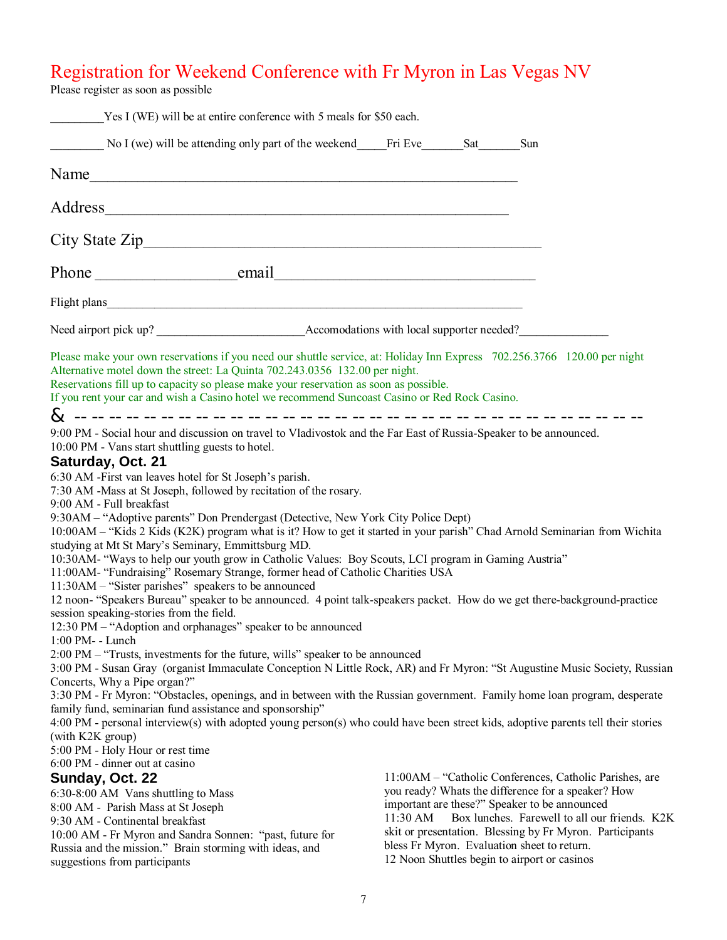# Registration for Weekend Conference with Fr Myron in Las Vegas NV

Please register as soon as possible

| Yes I (WE) will be at entire conference with 5 meals for \$50 each.                                                                                                                                                                                                                                                                                                                                                                                                                                                                                                                                                                                                                                                                                                                                                                                                                                                                                                                                                                                                                                                                                                                                                                                                                                                                                                                            |          |                                                                                                                                                                                                                                                                                                                                                                            |
|------------------------------------------------------------------------------------------------------------------------------------------------------------------------------------------------------------------------------------------------------------------------------------------------------------------------------------------------------------------------------------------------------------------------------------------------------------------------------------------------------------------------------------------------------------------------------------------------------------------------------------------------------------------------------------------------------------------------------------------------------------------------------------------------------------------------------------------------------------------------------------------------------------------------------------------------------------------------------------------------------------------------------------------------------------------------------------------------------------------------------------------------------------------------------------------------------------------------------------------------------------------------------------------------------------------------------------------------------------------------------------------------|----------|----------------------------------------------------------------------------------------------------------------------------------------------------------------------------------------------------------------------------------------------------------------------------------------------------------------------------------------------------------------------------|
| No I (we) will be attending only part of the weekend Fri Eve Sat Sun                                                                                                                                                                                                                                                                                                                                                                                                                                                                                                                                                                                                                                                                                                                                                                                                                                                                                                                                                                                                                                                                                                                                                                                                                                                                                                                           |          |                                                                                                                                                                                                                                                                                                                                                                            |
|                                                                                                                                                                                                                                                                                                                                                                                                                                                                                                                                                                                                                                                                                                                                                                                                                                                                                                                                                                                                                                                                                                                                                                                                                                                                                                                                                                                                |          |                                                                                                                                                                                                                                                                                                                                                                            |
|                                                                                                                                                                                                                                                                                                                                                                                                                                                                                                                                                                                                                                                                                                                                                                                                                                                                                                                                                                                                                                                                                                                                                                                                                                                                                                                                                                                                |          |                                                                                                                                                                                                                                                                                                                                                                            |
|                                                                                                                                                                                                                                                                                                                                                                                                                                                                                                                                                                                                                                                                                                                                                                                                                                                                                                                                                                                                                                                                                                                                                                                                                                                                                                                                                                                                |          |                                                                                                                                                                                                                                                                                                                                                                            |
|                                                                                                                                                                                                                                                                                                                                                                                                                                                                                                                                                                                                                                                                                                                                                                                                                                                                                                                                                                                                                                                                                                                                                                                                                                                                                                                                                                                                |          |                                                                                                                                                                                                                                                                                                                                                                            |
|                                                                                                                                                                                                                                                                                                                                                                                                                                                                                                                                                                                                                                                                                                                                                                                                                                                                                                                                                                                                                                                                                                                                                                                                                                                                                                                                                                                                |          |                                                                                                                                                                                                                                                                                                                                                                            |
|                                                                                                                                                                                                                                                                                                                                                                                                                                                                                                                                                                                                                                                                                                                                                                                                                                                                                                                                                                                                                                                                                                                                                                                                                                                                                                                                                                                                |          |                                                                                                                                                                                                                                                                                                                                                                            |
| Please make your own reservations if you need our shuttle service, at: Holiday Inn Express 702.256.3766 120.00 per night<br>Alternative motel down the street: La Quinta 702.243.0356 132.00 per night.<br>Reservations fill up to capacity so please make your reservation as soon as possible.<br>If you rent your car and wish a Casino hotel we recommend Suncoast Casino or Red Rock Casino.                                                                                                                                                                                                                                                                                                                                                                                                                                                                                                                                                                                                                                                                                                                                                                                                                                                                                                                                                                                              |          |                                                                                                                                                                                                                                                                                                                                                                            |
| 9:00 PM - Social hour and discussion on travel to Vladivostok and the Far East of Russia-Speaker to be announced.<br>10:00 PM - Vans start shuttling guests to hotel.<br>Saturday, Oct. 21<br>6:30 AM -First van leaves hotel for St Joseph's parish.<br>7:30 AM -Mass at St Joseph, followed by recitation of the rosary.<br>9:00 AM - Full breakfast<br>9:30AM – "Adoptive parents" Don Prendergast (Detective, New York City Police Dept)<br>10:00AM - "Kids 2 Kids (K2K) program what is it? How to get it started in your parish" Chad Arnold Seminarian from Wichita<br>studying at Mt St Mary's Seminary, Emmittsburg MD.<br>10:30AM- "Ways to help our youth grow in Catholic Values: Boy Scouts, LCI program in Gaming Austria"<br>11:00AM- "Fundraising" Rosemary Strange, former head of Catholic Charities USA<br>11:30AM – "Sister parishes" speakers to be announced<br>12 noon- "Speakers Bureau" speaker to be announced. 4 point talk-speakers packet. How do we get there-background-practice<br>session speaking-stories from the field.<br>12:30 PM - "Adoption and orphanages" speaker to be announced<br>1:00 PM- - Lunch<br>2:00 PM – "Trusts, investments for the future, wills" speaker to be announced<br>3:00 PM - Susan Gray (organist Immaculate Conception N Little Rock, AR) and Fr Myron: "St Augustine Music Society, Russian<br>Concerts, Why a Pipe organ?" |          |                                                                                                                                                                                                                                                                                                                                                                            |
| 3:30 PM - Fr Myron: "Obstacles, openings, and in between with the Russian government. Family home loan program, desperate<br>family fund, seminarian fund assistance and sponsorship"<br>4:00 PM - personal interview(s) with adopted young person(s) who could have been street kids, adoptive parents tell their stories<br>(with K2K group)<br>5:00 PM - Holy Hour or rest time                                                                                                                                                                                                                                                                                                                                                                                                                                                                                                                                                                                                                                                                                                                                                                                                                                                                                                                                                                                                             |          |                                                                                                                                                                                                                                                                                                                                                                            |
| 6:00 PM - dinner out at casino<br>Sunday, Oct. 22<br>6:30-8:00 AM Vans shuttling to Mass<br>8:00 AM - Parish Mass at St Joseph<br>9:30 AM - Continental breakfast<br>10:00 AM - Fr Myron and Sandra Sonnen: "past, future for<br>Russia and the mission." Brain storming with ideas, and<br>suggestions from participants                                                                                                                                                                                                                                                                                                                                                                                                                                                                                                                                                                                                                                                                                                                                                                                                                                                                                                                                                                                                                                                                      | 11:30 AM | 11:00AM - "Catholic Conferences, Catholic Parishes, are<br>you ready? Whats the difference for a speaker? How<br>important are these?" Speaker to be announced<br>Box lunches. Farewell to all our friends. K2K<br>skit or presentation. Blessing by Fr Myron. Participants<br>bless Fr Myron. Evaluation sheet to return.<br>12 Noon Shuttles begin to airport or casinos |